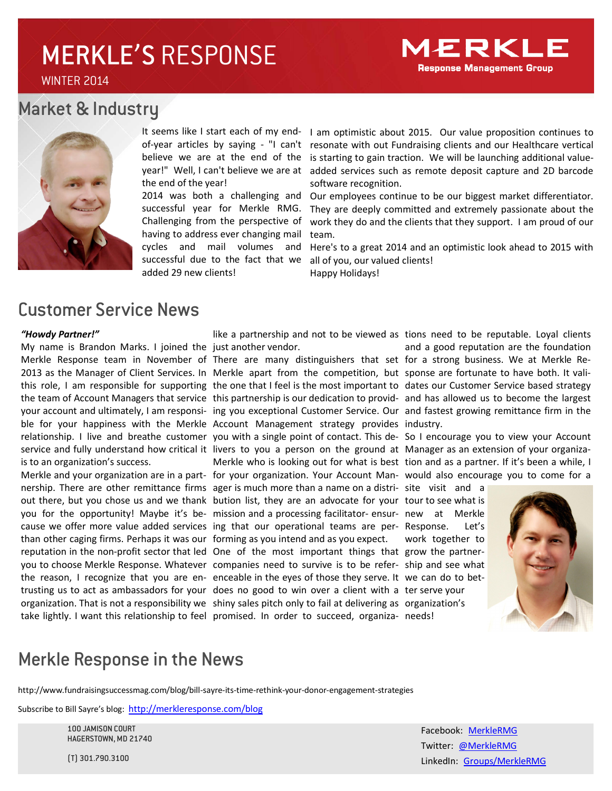## MERKLE'S RESPONSE

WINTER 2014

### Market & Industry



the end of the year!

successful year for Merkle RMG. Challenging from the perspective of having to address ever changing mail cycles and mail volumes and successful due to the fact that we added 29 new clients!

It seems like I start each of my end- I am optimistic about 2015. Our value proposition continues to of-year articles by saying - "I can't resonate with out Fundraising clients and our Healthcare vertical believe we are at the end of the is starting to gain traction. We will be launching additional valueyear!" Well, I can't believe we are at added services such as remote deposit capture and 2D barcode software recognition.

2014 was both a challenging and Our employees continue to be our biggest market differentiator. They are deeply committed and extremely passionate about the work they do and the clients that they support. I am proud of our team.

> Here's to a great 2014 and an optimistic look ahead to 2015 with all of you, our valued clients! Happy Holidays!

### Customer Service News

#### *"Howdy Partner!"*

My name is Brandon Marks. I joined the just another vendor. Merkle Response team in November of There are many distinguishers that set for a strong business. We at Merkle Reis to an organization's success.

than other caging firms. Perhaps it was our forming as you intend and as you expect. you to choose Merkle Response. Whatever companies need to survive is to be refer-ship and see what

like a partnership and not to be viewed as tions need to be reputable. Loyal clients

2013 as the Manager of Client Services. In Merkle apart from the competition, but sponse are fortunate to have both. It valithis role, I am responsible for supporting the one that I feel is the most important to dates our Customer Service based strategy the team of Account Managers that service this partnership is our dedication to provid- and has allowed us to become the largest your account and ultimately, I am responsi- ing you exceptional Customer Service. Our and fastest growing remittance firm in the ble for your happiness with the Merkle Account Management strategy provides industry. service and fully understand how critical it livers to you a person on the ground at Manager as an extension of your organiza-Merkle and your organization are in a part- for your organization. Your Account Man- would also encourage you to come for a nership. There are other remittance firms ager is much more than a name on a distri- site visit and a out there, but you chose us and we thank bution list, they are an advocate for your tour to see what is you for the opportunity! Maybe it's be-mission and a processing facilitator- ensur-new at Merkle cause we offer more value added services ing that our operational teams are per- Response. Let's reputation in the non-profit sector that led One of the most important things that grow the partner-

the reason, I recognize that you are en- enceable in the eyes of those they serve. It we can do to bettrusting us to act as ambassadors for your does no good to win over a client with a ter serve your organization. That is not a responsibility we shiny sales pitch only to fail at delivering as organization's take lightly. I want this relationship to feel promised. In order to succeed, organiza-needs!

and a good reputation are the foundation

relationship. I live and breathe customer you with a single point of contact. This de- So I encourage you to view your Account Merkle who is looking out for what is best tion and as a partner. If it's been a while, I

work together to



### Merkle Response in the News

http://www.fundraisingsuccessmag.com/blog/bill-sayre-its-time-rethink-your-donor-engagement-strategies

Subscribe to Bill Sayre's blog: http://merkleresponse.com/blog

100 JAMISON COURT HAGERSTOWN, MD 21740

(T) 301.790.3100

Facebook: MerkleRMG Twitter: @MerkleRMG LinkedIn: Groups/MerkleRMG